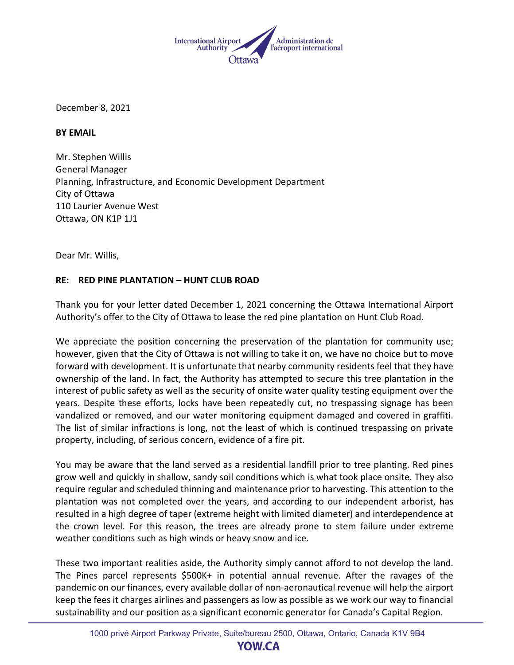

December 8, 2021

**BY EMAIL**

Mr. Stephen Willis General Manager Planning, Infrastructure, and Economic Development Department City of Ottawa 110 Laurier Avenue West Ottawa, ON K1P 1J1

Dear Mr. Willis,

## **RE: RED PINE PLANTATION – HUNT CLUB ROAD**

Thank you for your letter dated December 1, 2021 concerning the Ottawa International Airport Authority's offer to the City of Ottawa to lease the red pine plantation on Hunt Club Road.

We appreciate the position concerning the preservation of the plantation for community use; however, given that the City of Ottawa is not willing to take it on, we have no choice but to move forward with development. It is unfortunate that nearby community residents feel that they have ownership of the land. In fact, the Authority has attempted to secure this tree plantation in the interest of public safety as well as the security of onsite water quality testing equipment over the years. Despite these efforts, locks have been repeatedly cut, no trespassing signage has been vandalized or removed, and our water monitoring equipment damaged and covered in graffiti. The list of similar infractions is long, not the least of which is continued trespassing on private property, including, of serious concern, evidence of a fire pit.

You may be aware that the land served as a residential landfill prior to tree planting. Red pines grow well and quickly in shallow, sandy soil conditions which is what took place onsite. They also require regular and scheduled thinning and maintenance prior to harvesting. This attention to the plantation was not completed over the years, and according to our independent arborist, has resulted in a high degree of taper (extreme height with limited diameter) and interdependence at the crown level. For this reason, the trees are already prone to stem failure under extreme weather conditions such as high winds or heavy snow and ice.

These two important realities aside, the Authority simply cannot afford to not develop the land. The Pines parcel represents \$500K+ in potential annual revenue. After the ravages of the pandemic on our finances, every available dollar of non-aeronautical revenue will help the airport keep the fees it charges airlines and passengers as low as possible as we work our way to financial sustainability and our position as a significant economic generator for Canada's Capital Region.

**YOW.CA**